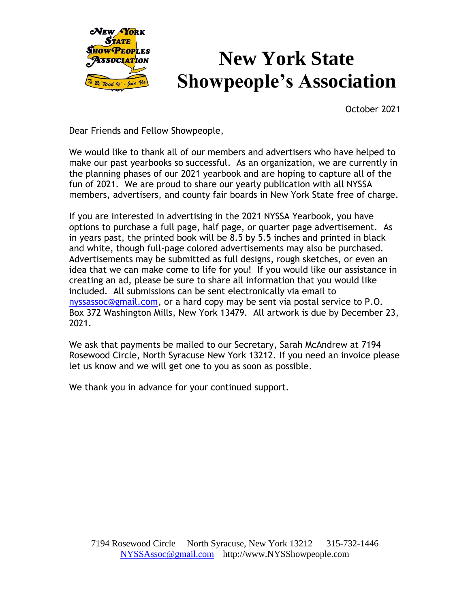

## **New York State Showpeople's Association**

October 2021

Dear Friends and Fellow Showpeople,

We would like to thank all of our members and advertisers who have helped to make our past yearbooks so successful. As an organization, we are currently in the planning phases of our 2021 yearbook and are hoping to capture all of the fun of 2021. We are proud to share our yearly publication with all NYSSA members, advertisers, and county fair boards in New York State free of charge.

If you are interested in advertising in the 2021 NYSSA Yearbook, you have options to purchase a full page, half page, or quarter page advertisement. As in years past, the printed book will be 8.5 by 5.5 inches and printed in black and white, though full-page colored advertisements may also be purchased. Advertisements may be submitted as full designs, rough sketches, or even an idea that we can make come to life for you! If you would like our assistance in creating an ad, please be sure to share all information that you would like included. All submissions can be sent electronically via email to [nyssassoc@gmail.com,](mailto:nyssassoc@gmail.com) or a hard copy may be sent via postal service to P.O. Box 372 Washington Mills, New York 13479. All artwork is due by December 23, 2021.

We ask that payments be mailed to our Secretary, Sarah McAndrew at 7194 Rosewood Circle, North Syracuse New York 13212. If you need an invoice please let us know and we will get one to you as soon as possible.

We thank you in advance for your continued support.